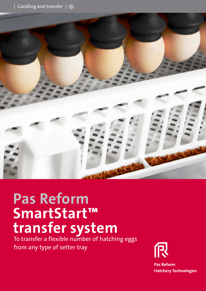| Candling and transfer | 蘂



# **Pas Reform SmartStart™ transfer system** To transfer a flexible number of hatching eggs

from any type of setter tray



Pas Reform Hatchery Techn info@pasreform.com